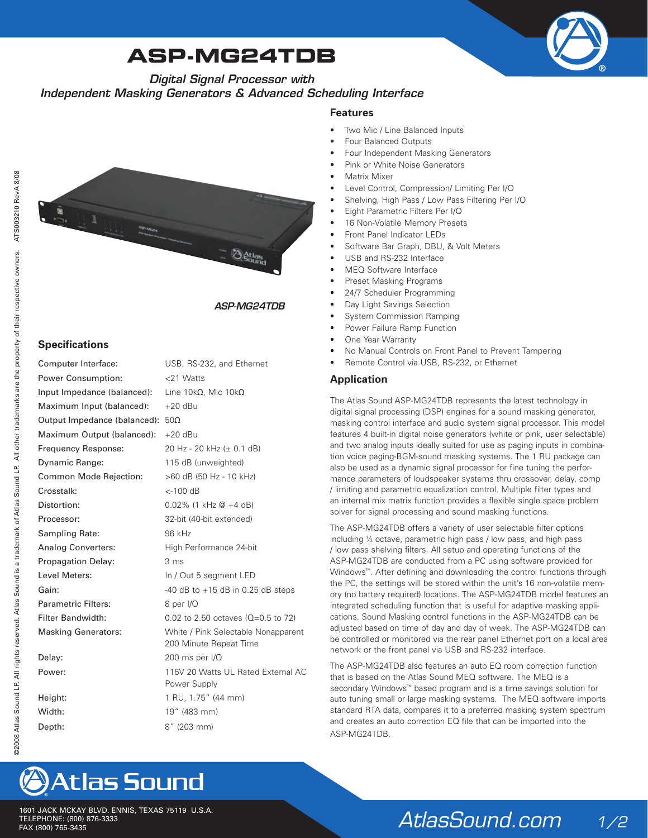# **ASP-MG24TDB**



*Digital Signal Processor with* 

*Independent Masking Generators & Advanced Scheduling Interface*

#### **Features**

- Two Mic / Line Balanced Inputs
- Four Balanced Outputs
- Four Independent Masking Generators
- Pink or White Noise Generators
- **Matrix Mixer**
- Level Control, Compression/ Limiting Per I/O
- Shelving, High Pass / Low Pass Filtering Per I/O
- Eight Parametric Filters Per I/O
- 16 Non-Volatile Memory Presets
- Front Panel Indicator LEDs
- Software Bar Graph, DBU, & Volt Meters
- USB and RS-232 Interface
- MEQ Software Interface
- Preset Masking Programs
- 24/7 Scheduler Programming
- Day Light Savings Selection
- **System Commission Ramping**
- Power Failure Ramp Function
- One Year Warranty
- No Manual Controls on Front Panel to Prevent Tampering
- Remote Control via USB, RS-232, or Ethernet

#### **Application**

The Atlas Sound ASP-MG24TDB represents the latest technology in digital signal processing (DSP) engines for a sound masking generator, masking control interface and audio system signal processor. This model features 4 built-in digital noise generators (white or pink, user selectable) and two analog inputs ideally suited for use as paging inputs in combination voice paging-BGM-sound masking systems. The 1 RU package can also be used as a dynamic signal processor for fine tuning the performance parameters of loudspeaker systems thru crossover, delay, comp / limiting and parametric equalization control. Multiple filter types and an internal mix matrix function provides a flexible single space problem solver for signal processing and sound masking functions.

The ASP-MG24TDB offers a variety of user selectable filter options including 1 ⁄3 octave, parametric high pass / low pass, and high pass / low pass shelving filters. All setup and operating functions of the ASP-MG24TDB are conducted from a PC using software provided for Windows™. After defining and downloading the control functions through the PC, the settings will be stored within the unit's 16 non-volatile memory (no battery required) locations. The ASP-MG24TDB model features an integrated scheduling function that is useful for adaptive masking applications. Sound Masking control functions in the ASP-MG24TDB can be adjusted based on time of day and day of week. The ASP-MG24TDB can be controlled or monitored via the rear panel Ethernet port on a local area network or the front panel via USB and RS-232 interface.

The ASP-MG24TDB also features an auto EQ room correction function that is based on the Atlas Sound MEQ software. The MEQ is a secondary Windows™ based program and is a time savings solution for auto tuning small or large masking systems. The MEQ software imports standard RTA data, compares it to a preferred masking system spectrum and creates an auto correction EQ file that can be imported into the ASP‑MG24TDB.



#### *ASP-MG24TDB*

#### **Specifications**

|                                                        | ASP-MG24TDB                                                                                            |
|--------------------------------------------------------|--------------------------------------------------------------------------------------------------------|
| <b>Specifications</b>                                  |                                                                                                        |
| Computer Interface:                                    | USB, RS-232, and Ethernet                                                                              |
| Power Consumption:                                     | <21 Watts                                                                                              |
| Input Impedance (balanced):                            | Line 10kΩ, Mic 10kΩ                                                                                    |
| Maximum Input (balanced):                              | $+20$ dBu                                                                                              |
| Output Impedance (balanced):                           | $50\Omega$                                                                                             |
| Maximum Output (balanced):                             | $+20$ dBu                                                                                              |
| Frequency Response:                                    | 20 Hz - 20 kHz (± 0.1 dB)                                                                              |
| Dynamic Range:                                         | 115 dB (unweighted)                                                                                    |
| Common Mode Rejection:                                 | >60 dB (50 Hz - 10 kHz)                                                                                |
| Crosstalk:                                             | <-100 dB                                                                                               |
| Distortion:                                            | $0.02\%$ (1 kHz $\omega$ +4 dB)                                                                        |
| Processor:                                             | 32-bit (40-bit extended)                                                                               |
| Sampling Rate:                                         | 96 kHz                                                                                                 |
| <b>Analog Converters:</b>                              | High Performance 24-bit                                                                                |
| Propagation Delay:                                     | 3 ms                                                                                                   |
| Level Meters:                                          | In / Out 5 segment LED                                                                                 |
| Gain:                                                  | $-40$ dB to $+15$ dB in 0.25 dB steps                                                                  |
| <b>Parametric Filters:</b>                             | 8 per I/O                                                                                              |
| <b>Filter Bandwidth:</b><br><b>Masking Generators:</b> | 0.02 to 2.50 octaves ( $Q=0.5$ to 72)<br>White / Pink Selectable Nonapparent<br>200 Minute Repeat Time |
| Delay:                                                 | 200 ms per I/O                                                                                         |
| Power:                                                 | 115V 20 Watts UL Rated External AC<br>Power Supply                                                     |
| Height:                                                | 1 RU, 1.75" (44 mm)                                                                                    |
| Width:                                                 | 19" (483 mm)                                                                                           |
| Depth:                                                 | 8" (203 mm)                                                                                            |

### *AtlasSound.com 1/2*